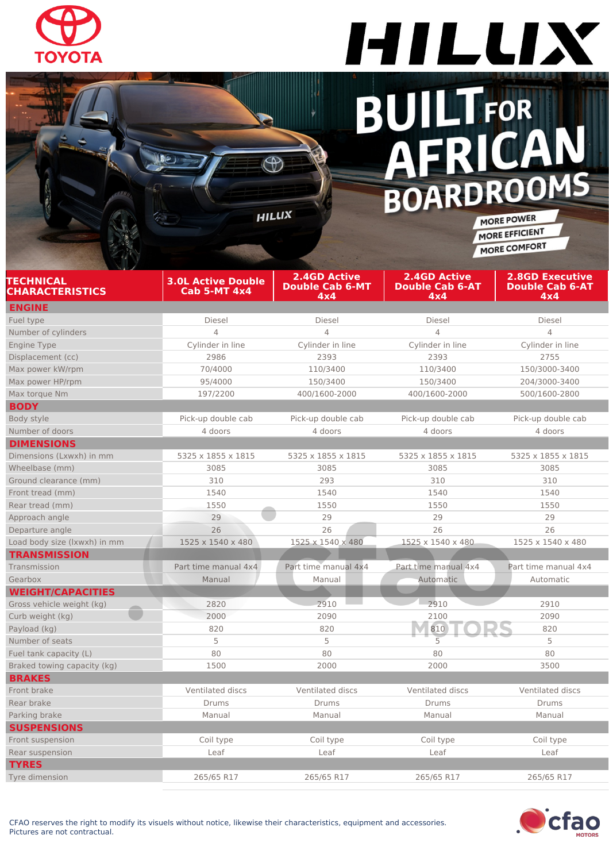

#### HILLIX **BUILTFOR**<br>**AFRICAN**  $\overline{\mathbf{L}}$ BOARDROOMS

MORE POWER MORE EFFICIENT MORE COMFORT

| TECHNICAL<br>CHARACTERISTICS | <b>3.0L Active Double</b><br>Cab 5-MT 4x4 | <b>2.4GD Active</b><br><b>Double Cab 6-MT</b><br>4x4 | <b>2.4GD Active</b><br><b>Double Cab 6-AT</b><br>4x4 | <b>2.8GD Executive</b><br><b>Double Cab 6-AT</b><br>4x4 |
|------------------------------|-------------------------------------------|------------------------------------------------------|------------------------------------------------------|---------------------------------------------------------|
| <b>ENGINE</b>                |                                           |                                                      |                                                      |                                                         |
| Fuel type                    | Diesel                                    | Diesel                                               | <b>Diesel</b>                                        | Diesel                                                  |
| Number of cylinders          | $\overline{4}$                            | $\overline{4}$                                       | $\overline{4}$                                       | $\overline{4}$                                          |
| Engine Type                  | Cylinder in line                          | Cylinder in line                                     | Cylinder in line                                     | Cylinder in line                                        |
| Displacement (cc)            | 2986                                      | 2393                                                 | 2393                                                 | 2755                                                    |
| Max power kW/rpm             | 70/4000                                   | 110/3400                                             | 110/3400                                             | 150/3000-3400                                           |
| Max power HP/rpm             | 95/4000                                   | 150/3400                                             | 150/3400                                             | 204/3000-3400                                           |
| Max torque Nm                | 197/2200                                  | 400/1600-2000                                        | 400/1600-2000                                        | 500/1600-2800                                           |
| <b>BODY</b>                  |                                           |                                                      |                                                      |                                                         |
| Body style                   | Pick-up double cab                        | Pick-up double cab                                   | Pick-up double cab                                   | Pick-up double cab                                      |
| Number of doors              | 4 doors                                   | 4 doors                                              | 4 doors                                              | 4 doors                                                 |
| <b>DIMENSIONS</b>            |                                           |                                                      |                                                      |                                                         |
| Dimensions (Lxwxh) in mm     | 5325 x 1855 x 1815                        | 5325 x 1855 x 1815                                   | 5325 x 1855 x 1815                                   | 5325 x 1855 x 1815                                      |
| Wheelbase (mm)               | 3085                                      | 3085                                                 | 3085                                                 | 3085                                                    |
| Ground clearance (mm)        | 310                                       | 293                                                  | 310                                                  | 310                                                     |
| Front tread (mm)             | 1540                                      | 1540                                                 | 1540                                                 | 1540                                                    |
| Rear tread (mm)              | 1550                                      | 1550                                                 | 1550                                                 | 1550                                                    |
| Approach angle               | 29                                        | 29                                                   | 29                                                   | 29                                                      |
| Departure angle              | 26                                        | 26                                                   | 26                                                   | 26                                                      |
| Load body size (Ixwxh) in mm | 1525 x 1540 x 480                         | 1525 x 1540 x 480                                    | 1525 x 1540 x 480                                    | 1525 x 1540 x 480                                       |
| <b>TRANSMISSION</b>          |                                           |                                                      |                                                      |                                                         |
| Transmission                 | Part time manual 4x4                      | Part time manual 4x4                                 | Part time manual 4x4                                 | Part time manual 4x4                                    |
| Gearbox                      | Manual                                    | Manual                                               | Automatic                                            | Automatic                                               |
| <b>WEIGHT/CAPACITIES</b>     |                                           |                                                      |                                                      |                                                         |
| Gross vehicle weight (kg)    | 2820                                      | 2910                                                 | 2910                                                 | 2910                                                    |
| Curb weight (kg)             | 2000                                      | 2090                                                 | 2100                                                 | 2090                                                    |
| Payload (kg)                 | 820                                       | 820                                                  | 810                                                  | 820                                                     |
| Number of seats              | 5                                         | 5                                                    | 5                                                    | 5                                                       |
| Fuel tank capacity (L)       | 80                                        | 80                                                   | 80                                                   | 80                                                      |
| Braked towing capacity (kg)  | 1500                                      | 2000                                                 | 2000                                                 | 3500                                                    |
| <b>BRAKES</b>                |                                           |                                                      |                                                      |                                                         |
| Front brake                  | Ventilated discs                          | Ventilated discs                                     | Ventilated discs                                     | Ventilated discs                                        |
| Rear brake                   | Drums                                     | Drums                                                | <b>Drums</b>                                         | <b>Drums</b>                                            |
| Parking brake                | Manual                                    | Manual                                               | Manual                                               | Manual                                                  |
| <b>SUSPENSIONS</b>           |                                           |                                                      |                                                      |                                                         |
| Front suspension             | Coil type                                 | Coil type                                            | Coil type                                            | Coil type                                               |
| Rear suspension              | Leaf                                      | Leaf                                                 | Leaf                                                 | Leaf                                                    |
| <b>TYRES</b>                 |                                           |                                                      |                                                      |                                                         |
| Tyre dimension               | 265/65 R17                                | 265/65 R17                                           | 265/65 R17                                           | 265/65 R17                                              |

 $\bigoplus$ 

**HILLIX** 

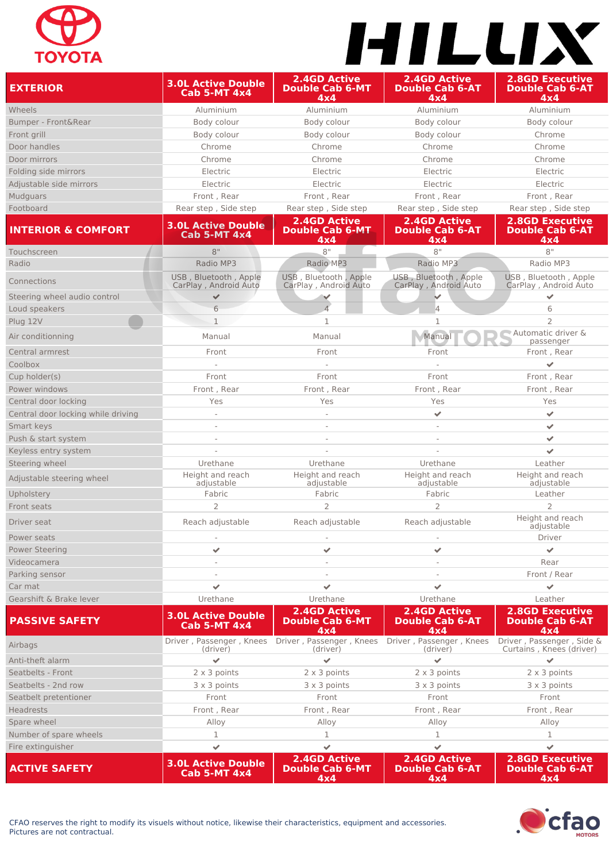## **TOYOTA**

# HILLIX

| <b>EXTERIOR</b>                        | <b>3.0L Active Double</b><br><b>Cab 5-MT 4x4</b> | <b>2.4GD Active</b><br><b>Double Cab 6-MT</b><br>4x4 | <b>2.4GD Active</b><br><b>Double Cab 6-AT</b><br>4x4 | <b>2.8GD Executive</b><br><b>Double Cab 6-AT</b><br>4x4 |
|----------------------------------------|--------------------------------------------------|------------------------------------------------------|------------------------------------------------------|---------------------------------------------------------|
| Wheels                                 | Aluminium                                        | Aluminium                                            | Aluminium                                            | Aluminium                                               |
| Bumper - Front&Rear                    | Body colour                                      | Body colour                                          | Body colour                                          | Body colour                                             |
| Front grill                            | Body colour                                      | Body colour                                          | Body colour                                          | Chrome                                                  |
| Door handles                           | Chrome                                           | Chrome                                               | Chrome                                               | Chrome                                                  |
| Door mirrors                           | Chrome                                           | Chrome                                               | Chrome                                               | Chrome                                                  |
| Folding side mirrors                   | Electric                                         | Electric                                             | Electric                                             | Electric                                                |
| Adjustable side mirrors                | Electric                                         | Electric                                             | Electric                                             | Electric                                                |
| Mudguars                               | Front, Rear                                      | Front, Rear                                          | Front, Rear                                          | Front, Rear                                             |
| Footboard                              | Rear step, Side step                             | Rear step, Side step                                 | Rear step, Side step                                 | Rear step, Side step                                    |
| <b>INTERIOR &amp; COMFORT</b>          | <b>3.0L Active Double</b><br><b>Cab 5-MT 4x4</b> | <b>2.4GD Active</b><br><b>Double Cab 6-MT</b><br>4x4 | <b>2.4GD Active</b><br><b>Double Cab 6-AT</b><br>4x4 | <b>2.8GD Executive</b><br><b>Double Cab 6-AT</b><br>4x4 |
| Touchscreen                            | 8"                                               | 8"                                                   | 8"                                                   | 8"                                                      |
| Radio                                  | Radio MP3                                        | Radio MP3                                            | Radio MP3                                            | Radio MP3                                               |
| Connections                            | USB, Bluetooth, Apple<br>CarPlay, Android Auto   | USB, Bluetooth, Apple<br>CarPlay, Android Auto       | USB, Bluetooth, Apple<br>CarPlay, Android Auto       | USB, Bluetooth, Apple<br>CarPlay, Android Auto          |
| Steering wheel audio control           | $\checkmark$                                     | V                                                    |                                                      | $\checkmark$                                            |
| Loud speakers                          | 6                                                | $\Delta$                                             | $\overline{4}$                                       | 6                                                       |
| Plug 12V                               | $\mathbf{1}$                                     | $\mathbf{1}$                                         | 1                                                    | $\overline{2}$                                          |
| Air conditionning                      | Manual                                           | Manual                                               | Manual                                               | Automatic driver &<br>passenger                         |
| Central armrest                        | Front                                            | Front                                                | Front                                                | Front, Rear                                             |
| Coolbox                                |                                                  |                                                      |                                                      | ✓                                                       |
| Cup holder(s)                          | Front                                            | Front                                                | Front                                                | Front, Rear                                             |
| Power windows                          | Front, Rear                                      | Front, Rear                                          | Front, Rear                                          | Front, Rear                                             |
| Central door locking                   | Yes                                              | Yes                                                  | Yes                                                  | Yes                                                     |
| Central door locking while driving     |                                                  |                                                      | ✔                                                    | ✔                                                       |
| Smart keys                             |                                                  |                                                      |                                                      | ✓                                                       |
| Push & start system                    |                                                  |                                                      |                                                      | ✔<br>$\checkmark$                                       |
| Keyless entry system<br>Steering wheel | Urethane                                         | Urethane                                             | Urethane                                             | Leather                                                 |
| Adjustable steering wheel              | Height and reach<br>adjustable                   | Height and reach<br>adjustable                       | Height and reach<br>adjustable                       | Height and reach<br>adjustable                          |
| Upholstery                             | Fabric                                           | Fabric                                               | Fabric                                               | Leather                                                 |
| Front seats                            | 2                                                | $\overline{2}$                                       | $\overline{2}$                                       | $\overline{2}$                                          |
| Driver seat                            | Reach adjustable                                 | Reach adjustable                                     | Reach adjustable                                     | Height and reach<br>adjustable                          |
| Power seats                            | $\overline{\phantom{a}}$                         | $\overline{\phantom{a}}$                             |                                                      | Driver                                                  |
| <b>Power Steering</b>                  | $\mathcal{L}$                                    | $\mathcal{L}$                                        | $\checkmark$                                         | $\checkmark$                                            |
| Videocamera                            |                                                  |                                                      |                                                      | Rear                                                    |
| Parking sensor                         |                                                  |                                                      |                                                      | Front / Rear                                            |
| Car mat                                | $\checkmark$                                     | $\checkmark$                                         | $\overline{\mathscr{S}}$                             | ✓                                                       |
| Gearshift & Brake lever                | Urethane                                         | Urethane                                             | Urethane                                             | Leather                                                 |
| <b>PASSIVE SAFETY</b>                  | <b>3.0L Active Double</b><br><b>Cab 5-MT 4x4</b> | <b>2.4GD Active</b><br><b>Double Cab 6-MT</b><br>4x4 | <b>2.4GD Active</b><br><b>Double Cab 6-AT</b><br>4x4 | <b>2.8GD Executive</b><br><b>Double Cab 6-AT</b><br>4x4 |
| Airbags                                | Driver, Passenger, Knees<br>(driver)             | Driver, Passenger, Knees<br>(driver)                 | Driver, Passenger, Knees<br>(driver)                 | Driver, Passenger, Side &<br>Curtains, Knees (driver)   |
| Anti-theft alarm                       | ✓                                                | ✔                                                    | $\checkmark$                                         |                                                         |
| Seatbelts - Front                      | 2 x 3 points                                     | 2 x 3 points                                         | $2 \times 3$ points                                  | 2 x 3 points                                            |
| Seatbelts - 2nd row                    | 3 x 3 points                                     | 3 x 3 points                                         | 3 x 3 points                                         | 3 x 3 points                                            |
| Seatbelt pretentioner                  | Front                                            | Front                                                | Front                                                | Front                                                   |
| <b>Headrests</b>                       | Front, Rear                                      | Front, Rear                                          | Front, Rear                                          | Front, Rear                                             |
| Spare wheel                            | Alloy                                            | Alloy                                                | Alloy                                                | Alloy                                                   |
| Number of spare wheels                 | 1                                                | 1                                                    | $\mathbf 1$                                          | 1                                                       |
| Fire extinguisher                      | $\checkmark$                                     | $\checkmark$                                         | $\checkmark$                                         | $\checkmark$                                            |
| <b>ACTIVE SAFETY</b>                   | <b>3.0L Active Double</b><br><b>Cab 5-MT 4x4</b> | <b>2.4GD Active</b><br><b>Double Cab 6-MT</b><br>4x4 | <b>2.4GD Active</b><br><b>Double Cab 6-AT</b><br>4x4 | <b>2.8GD Executive</b><br><b>Double Cab 6-AT</b><br>4x4 |